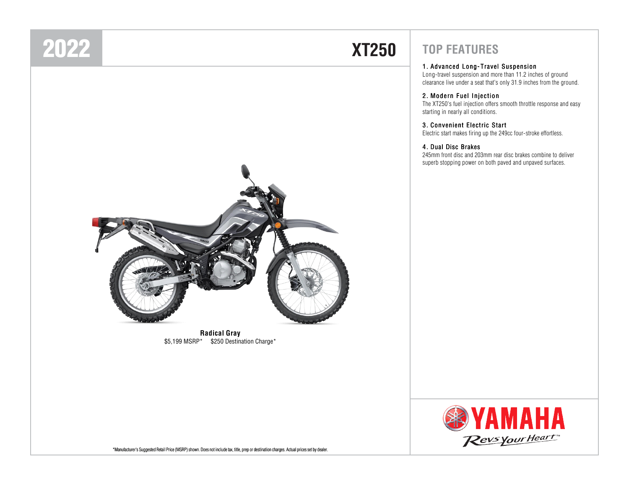### 2022

# **XT250**



#### <sup>1</sup> . Advanced Long- Travel Suspension

Long-travel suspension and more than 11.2 inches of ground clearance live under a seat that's only 31.9 inches from the ground.

#### <sup>2</sup> . Modern Fuel Injection

The XT250's fuel injection offers smooth throttle response and easy starting in nearly all conditions.

#### <sup>3</sup> . Convenient Electric Start

Electric start makes firing up the 249cc four-stroke effortless.

#### <sup>4</sup> . Dual Disc Brakes

245mm front disc and 203mm rear disc brakes combine to deliver superb stopping power on both paved and unpaved surfaces.



**Radical Gray**\$5,199 MSRP\* \$250 Destination Charge\*



\*Manufacturer's Suggested Retail Price (MSRP) shown. Does not include tax, title, prep or destination charges. Actual prices set by dealer.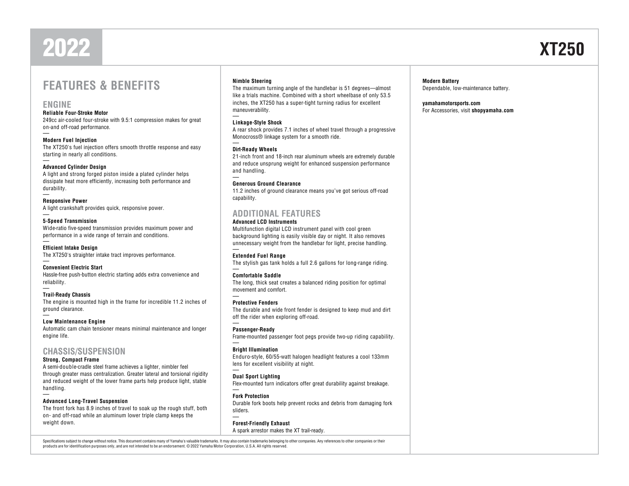### 2022

### **FEATURES & BENEFITS**

#### **ENGINE**

#### **Reliable Four-Stroke Motor**

 249cc air-cooled four-stroke with 9.5:1 compression makes for great on-and off-road performance.

**Modern Fuel Injection**

 The XT250's fuel injection offers smooth throttle response and easy starting in nearly all conditions.

#### **Advanced Cylinder Design**

 A light and strong forged piston inside a plated cylinder helps dissipate heat more efficiently, increasing both performance and durability.

#### **Responsive Power**

A light crankshaft provides quick, responsive power.

#### **5-Speed Transmission**

 Wide-ratio five-speed transmission provides maximum power and performance in a wide range of terrain and conditions.

#### **Efficient Intake Design**

The XT250's straighter intake tract improves performance.

#### **Convenient Electric Start**

 Hassle-free push-button electric starting adds extra convenience and reliability.

#### **Trail-Ready Chassis**

 The engine is mounted high in the frame for incredible 11.2 inches of ground clearance.

#### **Low Maintenance Engine**

 Automatic cam chain tensioner means minimal maintenance and longer engine life.

#### **CHASSIS/SUSPENSION**

#### **Strong, Compact Frame**

 A semi-double-cradle steel frame achieves a lighter, nimbler feel through greater mass centralization. Greater lateral and torsional rigidity and reduced weight of the lower frame parts help produce light, stable handling.

#### **Advanced Long-Travel Suspension**

 The front fork has 8.9 inches of travel to soak up the rough stuff, both on- and off-road while an aluminum lower triple clamp keeps the weight down.

#### **Nimble Steering**

 The maximum turning angle of the handlebar is 51 degrees—almost like a trials machine. Combined with a short wheelbase of only 53.5 inches, the XT250 has a super-tight turning radius for excellent maneuverability.

#### **Linkage-Style Shock**

 A rear shock provides 7.1 inches of wheel travel through a progressive Monocross® linkage system for a smooth ride.

#### **Dirt-Ready Wheels**

 21-inch front and 18-inch rear aluminum wheels are extremely durable and reduce unsprung weight for enhanced suspension performance and handling.

#### **Generous Ground Clearance**

 11.2 inches of ground clearance means you've got serious off-road capability.

#### **ADDITIONAL FEATURES**

#### **Advanced LCD Instruments**

 Multifunction digital LCD instrument panel with cool green background lighting is easily visible day or night. It also removes unnecessary weight from the handlebar for light, precise handling.

#### **Extended Fuel Range**

The stylish gas tank holds a full 2.6 gallons for long-range riding.

#### **Comfortable Saddle**

 The long, thick seat creates a balanced riding position for optimal movement and comfort.

#### **Protective Fenders**

 The durable and wide front fender is designed to keep mud and dirt off the rider when exploring off-road.

#### **Passenger-Ready**

Frame-mounted passenger foot pegs provide two-up riding capability.

#### **Bright Illumination**

 Enduro-style, 60/55-watt halogen headlight features a cool 133mm lens for excellent visibility at night.

#### **Dual Sport Lighting**

Flex-mounted turn indicators offer great durability against breakage.

#### **Fork Protection**

 Durable fork boots help prevent rocks and debris from damaging fork sliders.

**Forest-Friendly Exhaust**A spark arrestor makes the XT trail-ready.

Specifications subject to change without notice. This document contains many of Yamaha's valuable trademarks. It may also contain trademarks belonging to other companies. Any references to other companies or their products are for identification purposes only, and are not intended to be an endorsement. © 2022 Yamaha Motor Corporation, U.S.A. All rights reserved.

**Modern Battery**Dependable, low-maintenance battery.

**yamahamotorsports.com**For Accessories, visit **shopyamaha.com**

# **XT250**